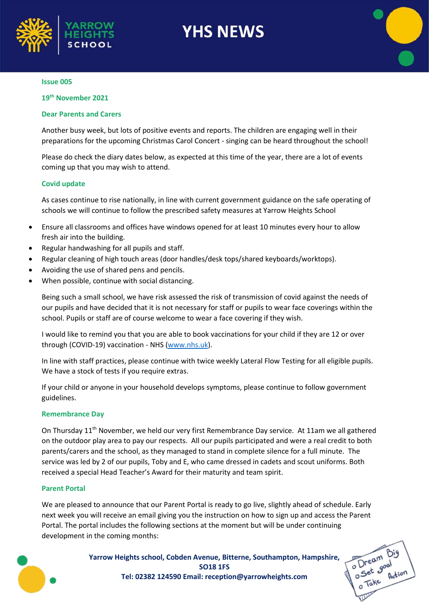



**19 th November 2021**

#### **Dear Parents and Carers**

Another busy week, but lots of positive events and reports. The children are engaging well in their preparations for the upcoming Christmas Carol Concert - singing can be heard throughout the school!

Please do check the diary dates below, as expected at this time of the year, there are a lot of events coming up that you may wish to attend.

#### **Covid update**

As cases continue to rise nationally, in line with current government guidance on the safe operating of schools we will continue to follow the prescribed safety measures at Yarrow Heights School

- Ensure all classrooms and offices have windows opened for at least 10 minutes every hour to allow fresh air into the building.
- Regular handwashing for all pupils and staff.
- Regular cleaning of high touch areas (door handles/desk tops/shared keyboards/worktops).
- Avoiding the use of shared pens and pencils.
- When possible, continue with social distancing.

Being such a small school, we have risk assessed the risk of transmission of covid against the needs of our pupils and have decided that it is not necessary for staff or pupils to wear face coverings within the school. Pupils or staff are of course welcome to wear a face covering if they wish.

I would like to remind you that you are able to book vaccinations for your child if they are 12 or over through (COVID-19) vaccination - NHS [\(www.nhs.uk\)](http://www.nhs.uk/).

In line with staff practices, please continue with twice weekly Lateral Flow Testing for all eligible pupils. We have a stock of tests if you require extras.

If your child or anyone in your household develops symptoms, please continue to follow government guidelines.

#### **Remembrance Day**

On Thursday 11<sup>th</sup> November, we held our very first Remembrance Day service. At 11am we all gathered on the outdoor play area to pay our respects. All our pupils participated and were a real credit to both parents/carers and the school, as they managed to stand in complete silence for a full minute. The service was led by 2 of our pupils, Toby and E, who came dressed in cadets and scout uniforms. Both received a special Head Teacher's Award for their maturity and team spirit.

#### **Parent Portal**

We are pleased to announce that our Parent Portal is ready to go live, slightly ahead of schedule. Early next week you will receive an email giving you the instruction on how to sign up and access the Parent Portal. The portal includes the following sections at the moment but will be under continuing development in the coming months:



**Yarrow Heights school, Cobden Avenue, Bitterne, Southampton, Hampshire, SO18 1FS Tel: 02382 124590 Email: reception@yarrowheights.com**

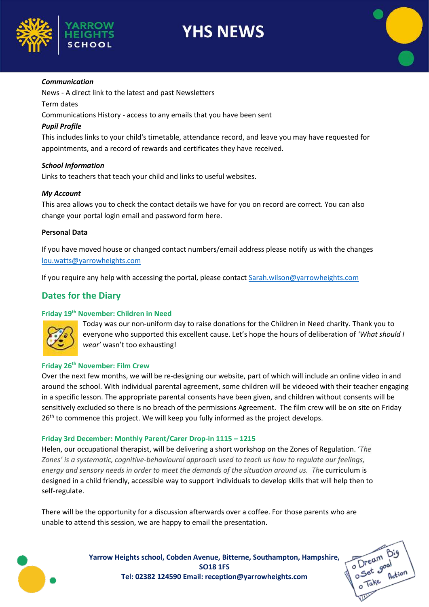



#### *Communication*

News - A direct link to the latest and past Newsletters

Term dates

Communications History - access to any emails that you have been sent

### *Pupil Profile*

This includes links to your child's timetable, attendance record, and leave you may have requested for appointments, and a record of rewards and certificates they have received.

#### *School Information*

Links to teachers that teach your child and links to useful websites.

#### *My Account*

This area allows you to check the contact details we have for you on record are correct. You can also change your portal login email and password form here.

#### **Personal Data**

If you have moved house or changed contact numbers/email address please notify us with the changes [lou.watts@yarrowheights.com](mailto:lou.watts@yarrowheights.com)

If you require any help with accessing the portal, please contact [Sarah.wilson@yarrowheights.com](mailto:Sarah.wilson@yarrowheights.com)

### **Dates for the Diary**

### **Friday 19th November: Children in Need**



Today was our non-uniform day to raise donations for the Children in Need charity. Thank you to everyone who supported this excellent cause. Let's hope the hours of deliberation of *'What should I wear'* wasn't too exhausting!

### **Friday 26th November: Film Crew**

Over the next few months, we will be re-designing our website, part of which will include an online video in and around the school. With individual parental agreement, some children will be videoed with their teacher engaging in a specific lesson. The appropriate parental consents have been given, and children without consents will be sensitively excluded so there is no breach of the permissions Agreement. The film crew will be on site on Friday  $26<sup>th</sup>$  to commence this project. We will keep you fully informed as the project develops.

### **Friday 3rd December: Monthly Parent/Carer Drop-in 1115 – 1215**

Helen, our occupational therapist, will be delivering a short workshop on the Zones of Regulation. '*The Zones' is a systematic, cognitive-behavioural approach used to teach us how to regulate our feelings, energy and sensory needs in order to meet the demands of the situation around us. Th*e curriculum is designed in a child friendly, accessible way to support individuals to develop skills that will help then to self-regulate.

There will be the opportunity for a discussion afterwards over a coffee. For those parents who are unable to attend this session, we are happy to email the presentation.



**Yarrow Heights school, Cobden Avenue, Bitterne, Southampton, Hampshire, SO18 1FS Tel: 02382 124590 Email: reception@yarrowheights.com**

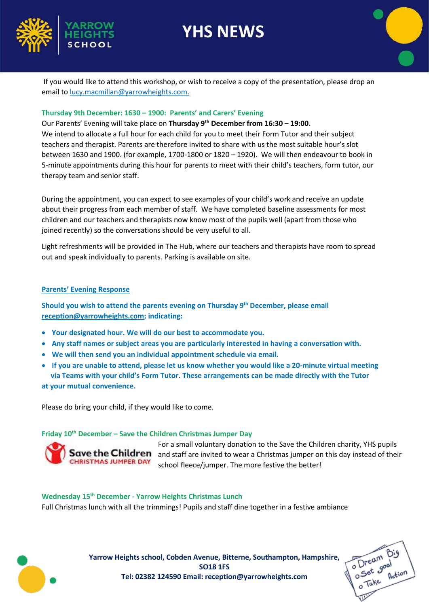



If you would like to attend this workshop, or wish to receive a copy of the presentation, please drop an email to [lucy.macmillan@yarrowheights.com.](mailto:lucy.macmillan@yarrowheights.com.)

#### **Thursday 9th December: 1630 – 1900: Parents' and Carers' Evening**

Our Parents' Evening will take place on **Thursday 9th December from 16:30 – 19:00.** We intend to allocate a full hour for each child for you to meet their Form Tutor and their subject teachers and therapist. Parents are therefore invited to share with us the most suitable hour's slot between 1630 and 1900. (for example, 1700-1800 or 1820 – 1920). We will then endeavour to book in 5-minute appointments during this hour for parents to meet with their child's teachers, form tutor, our therapy team and senior staff.

During the appointment, you can expect to see examples of your child's work and receive an update about their progress from each member of staff. We have completed baseline assessments for most children and our teachers and therapists now know most of the pupils well (apart from those who joined recently) so the conversations should be very useful to all.

Light refreshments will be provided in The Hub, where our teachers and therapists have room to spread out and speak individually to parents. Parking is available on site.

### **Parents' Evening Response**

**Should you wish to attend the parents evening on Thursday 9 th December, please email [reception@yarrowheights.com;](mailto:reception@yarrowheights.com) indicating:**

- **Your designated hour. We will do our best to accommodate you.**
- **Any staff names or subject areas you are particularly interested in having a conversation with.**
- **We will then send you an individual appointment schedule via email.**
- **If you are unable to attend, please let us know whether you would like a 20-minute virtual meeting via Teams with your child's Form Tutor. These arrangements can be made directly with the Tutor at your mutual convenience.**

Please do bring your child, if they would like to come.

### **Friday 10th December – Save the Children Christmas Jumper Day**



For a small voluntary donation to the Save the Children charity, YHS pupils and staff are invited to wear a Christmas jumper on this day instead of their school fleece/jumper. The more festive the better!

### **Wednesday 15th December - Yarrow Heights Christmas Lunch**

Full Christmas lunch with all the trimmings! Pupils and staff dine together in a festive ambiance



**Yarrow Heights school, Cobden Avenue, Bitterne, Southampton, Hampshire, SO18 1FS Tel: 02382 124590 Email: reception@yarrowheights.com**